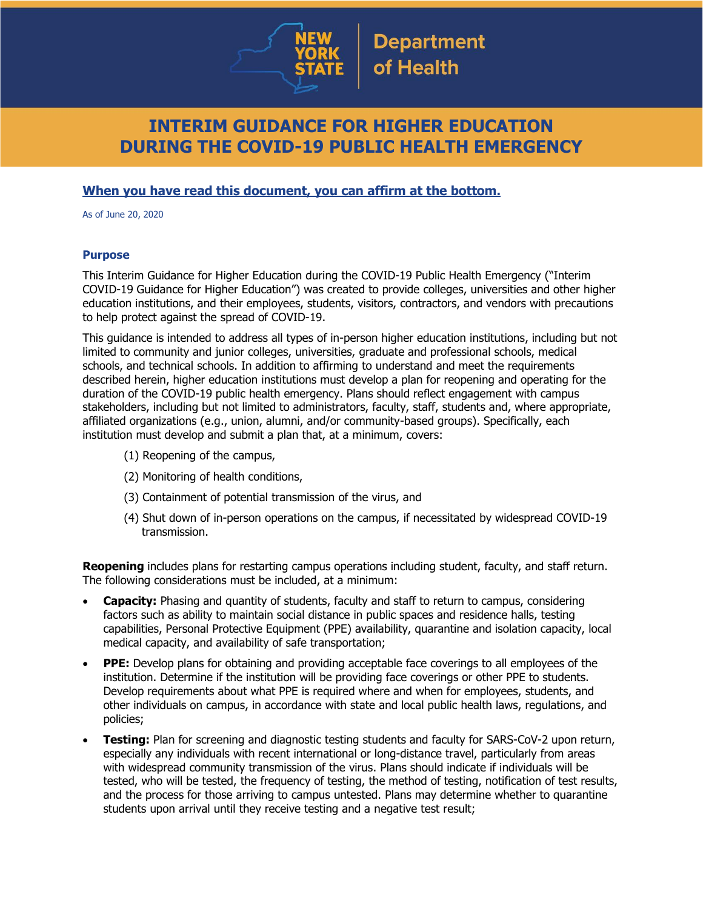

# **INTERIM GUIDANCE FOR HIGHER EDUCATION DURING THE COVID-19 PUBLIC HEALTH EMERGENCY**

### **When you have read this document, you can affirm at the bottom.**

As of June 20, 2020

### **Purpose**

This Interim Guidance for Higher Education during the COVID-19 Public Health Emergency ("Interim COVID-19 Guidance for Higher Education") was created to provide colleges, universities and other higher education institutions, and their employees, students, visitors, contractors, and vendors with precautions to help protect against the spread of COVID-19.

This guidance is intended to address all types of in-person higher education institutions, including but not limited to community and junior colleges, universities, graduate and professional schools, medical schools, and technical schools. In addition to affirming to understand and meet the requirements described herein, higher education institutions must develop a plan for reopening and operating for the duration of the COVID-19 public health emergency. Plans should reflect engagement with campus stakeholders, including but not limited to administrators, faculty, staff, students and, where appropriate, affiliated organizations (e.g., union, alumni, and/or community-based groups). Specifically, each institution must develop and submit a plan that, at a minimum, covers:

- (1) Reopening of the campus,
- (2) Monitoring of health conditions,
- (3) Containment of potential transmission of the virus, and
- (4) Shut down of in-person operations on the campus, if necessitated by widespread COVID-19 transmission.

**Reopening** includes plans for restarting campus operations including student, faculty, and staff return. The following considerations must be included, at a minimum:

- **Capacity:** Phasing and quantity of students, faculty and staff to return to campus, considering factors such as ability to maintain social distance in public spaces and residence halls, testing capabilities, Personal Protective Equipment (PPE) availability, quarantine and isolation capacity, local medical capacity, and availability of safe transportation;
- **PPE:** Develop plans for obtaining and providing acceptable face coverings to all employees of the institution. Determine if the institution will be providing face coverings or other PPE to students. Develop requirements about what PPE is required where and when for employees, students, and other individuals on campus, in accordance with state and local public health laws, regulations, and policies;
- **Testing:** Plan for screening and diagnostic testing students and faculty for SARS-CoV-2 upon return, especially any individuals with recent international or long-distance travel, particularly from areas with widespread community transmission of the virus. Plans should indicate if individuals will be tested, who will be tested, the frequency of testing, the method of testing, notification of test results, and the process for those arriving to campus untested. Plans may determine whether to quarantine students upon arrival until they receive testing and a negative test result;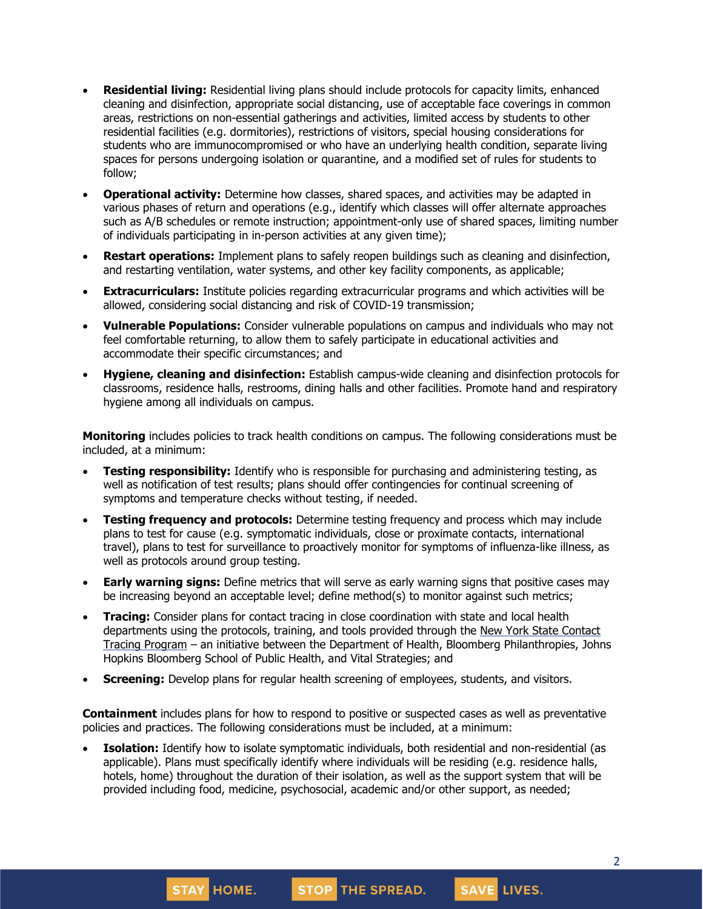- **Residential living:** Residential living plans should include protocols for capacity limits, enhanced cleaning and disinfection, appropriate social distancing, use of acceptable face coverings in common areas, restrictions on non-essential gatherings and activities, limited access by students to other residential facilities (e.g. dormitories), restrictions of visitors, special housing considerations for students who are immunocompromised or who have an underlying health condition, separate living spaces for persons undergoing isolation or quarantine, and a modified set of rules for students to follow;
- **Operational activity:** Determine how classes, shared spaces, and activities may be adapted in various phases of return and operations (e.g., identify which classes will offer alternate approaches such as A/B schedules or remote instruction; appointment-only use of shared spaces, limiting number of individuals participating in in-person activities at any given time);
- **Restart operations:** Implement plans to safely reopen buildings such as cleaning and disinfection, and restarting ventilation, water systems, and other key facility components, as applicable;
- **Extracurriculars:** Institute policies regarding extracurricular programs and which activities will be allowed, considering social distancing and risk of COVID-19 transmission;
- **Vulnerable Populations:** Consider vulnerable populations on campus and individuals who may not feel comfortable returning, to allow them to safely participate in educational activities and accommodate their specific circumstances; and
- **Hygiene, cleaning and disinfection:** Establish campus-wide cleaning and disinfection protocols for classrooms, residence halls, restrooms, dining halls and other facilities. Promote hand and respiratory hygiene among all individuals on campus.

**Monitoring** includes policies to track health conditions on campus. The following considerations must be included, at a minimum:

- **Testing responsibility:** Identify who is responsible for purchasing and administering testing, as well as notification of test results; plans should offer contingencies for continual screening of symptoms and temperature checks without testing, if needed.
- **Testing frequency and protocols:** Determine testing frequency and process which may include plans to test for cause (e.g. symptomatic individuals, close or proximate contacts, international travel), plans to test for surveillance to proactively monitor for symptoms of influenza-like illness, as well as protocols around group testing.
- **Early warning signs:** Define metrics that will serve as early warning signs that positive cases may be increasing beyond an acceptable level; define method(s) to monitor against such metrics;
- **Tracing:** Consider plans for contact tracing in close coordination with state and local health departments using the protocols, training, and tools provided through the New York State [Contact](https://coronavirus.health.ny.gov/new-york-state-contact-tracing) Tracing [Program](https://coronavirus.health.ny.gov/new-york-state-contact-tracing) – an initiative between the Department of Health, Bloomberg Philanthropies, Johns Hopkins Bloomberg School of Public Health, and Vital Strategies; and
- **Screening:** Develop plans for regular health screening of employees, students, and visitors.

**Containment** includes plans for how to respond to positive or suspected cases as well as preventative policies and practices. The following considerations must be included, at a minimum:

**Isolation:** Identify how to isolate symptomatic individuals, both residential and non-residential (as applicable). Plans must specifically identify where individuals will be residing (e.g. residence halls, hotels, home) throughout the duration of their isolation, as well as the support system that will be provided including food, medicine, psychosocial, academic and/or other support, as needed;

STOP THE SPREAD.

**STAY HOME.** 

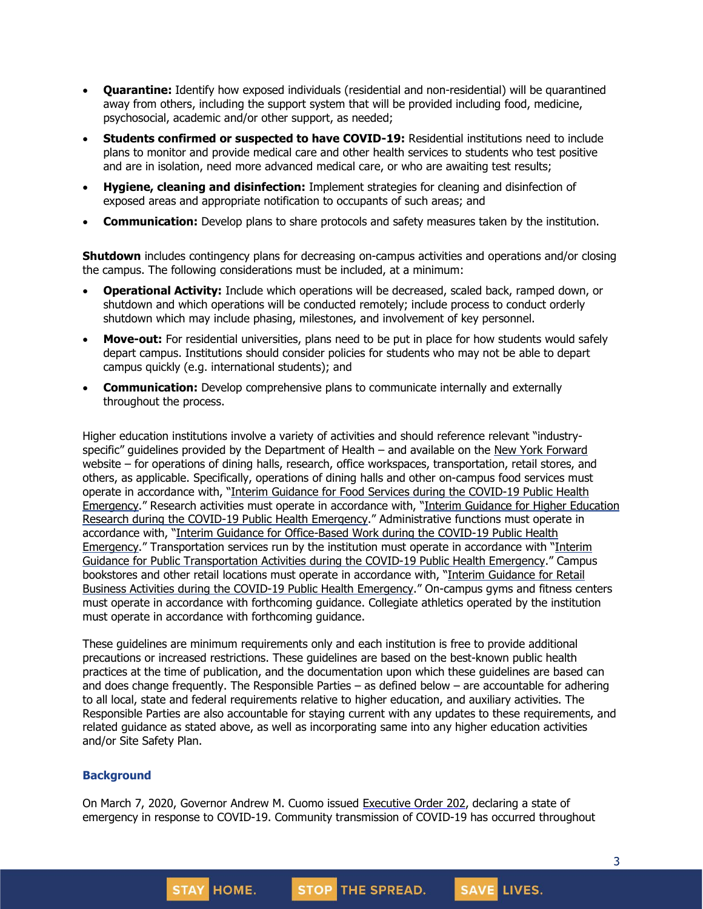- **Quarantine:** Identify how exposed individuals (residential and non-residential) will be quarantined away from others, including the support system that will be provided including food, medicine, psychosocial, academic and/or other support, as needed;
- **Students confirmed or suspected to have COVID-19:** Residential institutions need to include plans to monitor and provide medical care and other health services to students who test positive and are in isolation, need more advanced medical care, or who are awaiting test results;
- **Hygiene, cleaning and disinfection:** Implement strategies for cleaning and disinfection of exposed areas and appropriate notification to occupants of such areas; and
- **Communication:** Develop plans to share protocols and safety measures taken by the institution.

**Shutdown** includes contingency plans for decreasing on-campus activities and operations and/or closing the campus. The following considerations must be included, at a minimum:

- **Operational Activity:** Include which operations will be decreased, scaled back, ramped down, or shutdown and which operations will be conducted remotely; include process to conduct orderly shutdown which may include phasing, milestones, and involvement of key personnel.
- **Move-out:** For residential universities, plans need to be put in place for how students would safely depart campus. Institutions should consider policies for students who may not be able to depart campus quickly (e.g. international students); and
- **Communication:** Develop comprehensive plans to communicate internally and externally throughout the process.

Higher education institutions involve a variety of activities and should reference relevant "industry-specific" guidelines provided by the Department of Health – and available on the New York [Forward](https://forward.ny.gov/) website – for operations of dining halls, research, office workspaces, transportation, retail stores, and others, as applicable. Specifically, operations of dining halls and other on-campus food services must operate in accordance with, "Interim Guidance for Food Services during the [COVID-19](https://www.governor.ny.gov/sites/governor.ny.gov/files/atoms/files/Indoor_and_Outdoor_Food_Services_Detailed_Guidelines.pdf) Public Health [Emergency](https://www.governor.ny.gov/sites/governor.ny.gov/files/atoms/files/Indoor_and_Outdoor_Food_Services_Detailed_Guidelines.pdf)." Research activities must operate in accordance with, "Interim Guidance for Higher [Education](https://www.governor.ny.gov/sites/governor.ny.gov/files/atoms/files/Higher_Ed_Research_Detailed_Guidelines.pdf) Research during the COVID-19 Public Health [Emergency](https://www.governor.ny.gov/sites/governor.ny.gov/files/atoms/files/Higher_Ed_Research_Detailed_Guidelines.pdf)." Administrative functions must operate in accordance with, "Interim Guidance for [Office-Based](https://www.governor.ny.gov/sites/governor.ny.gov/files/atoms/files/offices-interim-guidance.pdf) Work during the COVID-19 Public Health [Emergency](https://www.governor.ny.gov/sites/governor.ny.gov/files/atoms/files/offices-interim-guidance.pdf)." Transportation services run by the institution must operate in accordance with "[Interim](https://www.governor.ny.gov/sites/governor.ny.gov/files/atoms/files/PublicTransportationMasterGuidance.pdf) Guidance for Public [Transportation](https://www.governor.ny.gov/sites/governor.ny.gov/files/atoms/files/PublicTransportationMasterGuidance.pdf) Activities during the COVID-19 Public Health Emergency." Campus bookstores and other retail locations must operate in accordance with, "Interim [Guidance](https://www.governor.ny.gov/sites/governor.ny.gov/files/atoms/files/RetailMasterGuidance.pdf) for Retail Business Activities during the COVID-19 Public Health [Emergency](https://www.governor.ny.gov/sites/governor.ny.gov/files/atoms/files/RetailMasterGuidance.pdf)." On-campus gyms and fitness centers must operate in accordance with forthcoming guidance. Collegiate athletics operated by the institution must operate in accordance with forthcoming guidance.

These guidelines are minimum requirements only and each institution is free to provide additional precautions or increased restrictions. These guidelines are based on the best-known public health practices at the time of publication, and the documentation upon which these guidelines are based can and does change frequently. The Responsible Parties – as defined below – are accountable for adhering to all local, state and federal requirements relative to higher education, and auxiliary activities. The Responsible Parties are also accountable for staying current with any updates to these requirements, and related guidance as stated above, as well as incorporating same into any higher education activities and/or Site Safety Plan.

### **Background**

On March 7, 2020, Governor Andrew M. Cuomo issued [Executive](https://www.governor.ny.gov/news/no-202-declaring-disaster-emergency-state-new-york) Order 202, declaring a state of emergency in response to COVID-19. Community transmission of COVID-19 has occurred throughout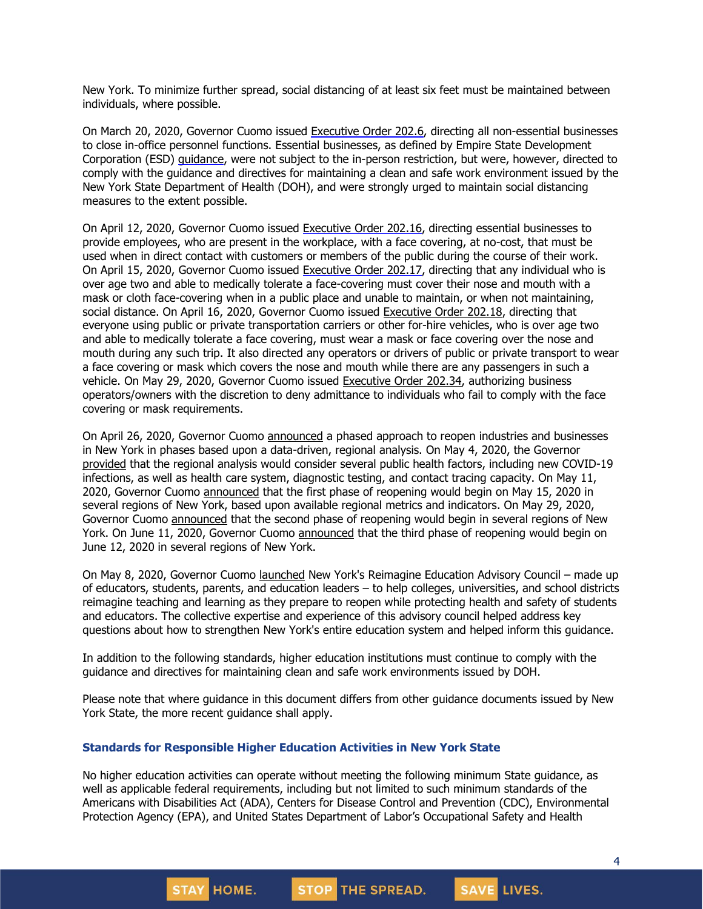New York. To minimize further spread, social distancing of at least six feet must be maintained between individuals, where possible.

On March 20, 2020, Governor Cuomo issued [Executive](https://www.governor.ny.gov/news/no-2026-continuing-temporary-suspension-and-modification-laws-relating-disaster-emergency) Order 202.6, directing all non-essential businesses to close in-office personnel functions. Essential businesses, as defined by Empire State Development Corporation (ESD) [guidance,](https://esd.ny.gov/guidance-executive-order-2026) were not subject to the in-person restriction, but were, however, directed to comply with the guidance and directives for maintaining a clean and safe work environment issued by the New York State Department of Health (DOH), and were strongly urged to maintain social distancing measures to the extent possible.

On April 12, 2020, Governor Cuomo issued [Executive](https://www.governor.ny.gov/news/no-20216-continuing-temporary-suspension-and-modification-laws-relating-disaster-emergency) Order 202.16, directing essential businesses to provide employees, who are present in the workplace, with a face covering, at no-cost, that must be used when in direct contact with customers or members of the public during the course of their work. On April 15, 2020, Governor Cuomo issued [Executive](https://www.governor.ny.gov/news/no-20217-continuing-temporary-suspension-and-modification-laws-relating-disaster-emergency) Order 202.17, directing that any individual who is over age two and able to medically tolerate a face-covering must cover their nose and mouth with a mask or cloth face-covering when in a public place and unable to maintain, or when not maintaining, social distance. On April 16, 2020, Governor Cuomo issued Executive Order 202.18, directing that everyone using public or private transportation carriers or other for-hire vehicles, who is over age two and able to medically tolerate a face covering, must wear a mask or face covering over the nose and mouth during any such trip. It also directed any operators or drivers of public or private transport to wear a face covering or mask which covers the nose and mouth while there are any passengers in such a vehicle. On May 29, 2020, Governor Cuomo issued Executive Order 202.34, authorizing business operators/owners with the discretion to deny admittance to individuals who fail to comply with the face covering or mask requirements.

On April 26, 2020, Governor Cuomo [announced](https://www.governor.ny.gov/news/amid-ongoing-covid-19-pandemic-governor-cuomo-outlines-phased-plan-re-open-new-york-starting) a phased approach to reopen industries and businesses in New York in phases based upon a data-driven, regional analysis. On May 4, 2020, the Governor [provided](https://www.governor.ny.gov/news/amid-ongoing-covid-19-pandemic-governor-cuomo-outlines-additional-guidelines-when-regions-can) that the regional analysis would consider several public health factors, including new COVID-19 infections, as well as health care system, diagnostic testing, and contact tracing capacity. On May 11, 2020, Governor Cuomo [announced](https://www.governor.ny.gov/news/amid-ongoing-covid-19-pandemic-governor-cuomo-announces-three-regions-new-york-state-ready) that the first phase of reopening would begin on May 15, 2020 in several regions of New York, based upon available regional metrics and indicators. On May 29, 2020, Governor Cuomo [announced](https://www.governor.ny.gov/news/governor-cuomo-announces-new-york-city-enter-phase-1-reopening-june-8-and-five-regions-enter) that the second phase of reopening would begin in several regions of New York. On June 11, 2020, Governor Cuomo [announced](https://www.governor.ny.gov/news/governor-cuomo-announces-five-regions-will-enter-phase-three-reopening-tomorrow) that the third phase of reopening would begin on June 12, 2020 in several regions of New York.

On May 8, 2020, Governor Cuomo [launched](https://www.governor.ny.gov/news/amid-ongoing-covid-19-pandemic-governor-cuomo-announces-members-reimagine-education-advisory) New York's Reimagine Education Advisory Council – made up of educators, students, parents, and education leaders – to help colleges, universities, and school districts reimagine teaching and learning as they prepare to reopen while protecting health and safety of students and educators. The collective expertise and experience of this advisory council helped address key questions about how to strengthen New York's entire education system and helped inform this guidance.

In addition to the following standards, higher education institutions must continue to comply with the guidance and directives for maintaining clean and safe work environments issued by DOH.

Please note that where guidance in this document differs from other guidance documents issued by New York State, the more recent guidance shall apply.

#### **Standards for Responsible Higher Education Activities in New York State**

No higher education activities can operate without meeting the following minimum State guidance, as well as applicable federal requirements, including but not limited to such minimum standards of the Americans with Disabilities Act (ADA), Centers for Disease Control and Prevention (CDC), Environmental Protection Agency (EPA), and United States Department of Labor's Occupational Safety and Health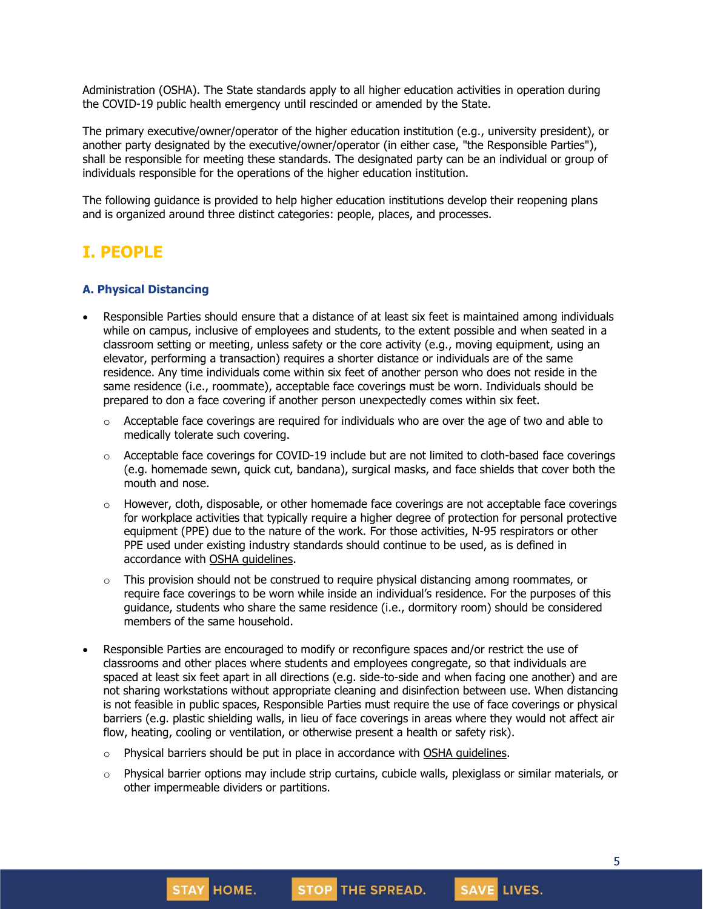Administration (OSHA). The State standards apply to all higher education activities in operation during the COVID-19 public health emergency until rescinded or amended by the State.

The primary executive/owner/operator of the higher education institution (e.g., university president), or another party designated by the executive/owner/operator (in either case, "the Responsible Parties"), shall be responsible for meeting these standards. The designated party can be an individual or group of individuals responsible for the operations of the higher education institution.

The following guidance is provided to help higher education institutions develop their reopening plans and is organized around three distinct categories: people, places, and processes.

# **I. PEOPLE**

#### **A. Physical Distancing**

- Responsible Parties should ensure that a distance of at least six feet is maintained among individuals while on campus, inclusive of employees and students, to the extent possible and when seated in a classroom setting or meeting, unless safety or the core activity (e.g., moving equipment, using an elevator, performing a transaction) requires a shorter distance or individuals are of the same residence. Any time individuals come within six feet of another person who does not reside in the same residence (i.e., roommate), acceptable face coverings must be worn. Individuals should be prepared to don a face covering if another person unexpectedly comes within six feet.
	- $\circ$  Acceptable face coverings are required for individuals who are over the age of two and able to medically tolerate such covering.
	- $\circ$  Acceptable face coverings for COVID-19 include but are not limited to cloth-based face coverings (e.g. homemade sewn, quick cut, bandana), surgical masks, and face shields that cover both the mouth and nose.
	- $\circ$  However, cloth, disposable, or other homemade face coverings are not acceptable face coverings for workplace activities that typically require a higher degree of protection for personal protective equipment (PPE) due to the nature of the work. For those activities, N-95 respirators or other PPE used under existing industry standards should continue to be used, as is defined in accordance with OSHA [guidelines.](https://www.osha.gov/SLTC/personalprotectiveequipment/)
	- $\circ$  This provision should not be construed to require physical distancing among roommates, or require face coverings to be worn while inside an individual's residence. For the purposes of this guidance, students who share the same residence (i.e., dormitory room) should be considered members of the same household.
- Responsible Parties are encouraged to modify or reconfigure spaces and/or restrict the use of classrooms and other places where students and employees congregate, so that individuals are spaced at least six feet apart in all directions (e.g. side-to-side and when facing one another) and are not sharing workstations without appropriate cleaning and disinfection between use. When distancing is not feasible in public spaces, Responsible Parties must require the use of face coverings or physical barriers (e.g. plastic shielding walls, in lieu of face coverings in areas where they would not affect air flow, heating, cooling or ventilation, or otherwise present a health or safety risk).
	- $\circ$  Physical barriers should be put in place in accordance with OSHA [guidelines.](https://www.osha.gov/Publications/OSHA3990.pdf)
	- $\circ$  Physical barrier options may include strip curtains, cubicle walls, plexiglass or similar materials, or other impermeable dividers or partitions.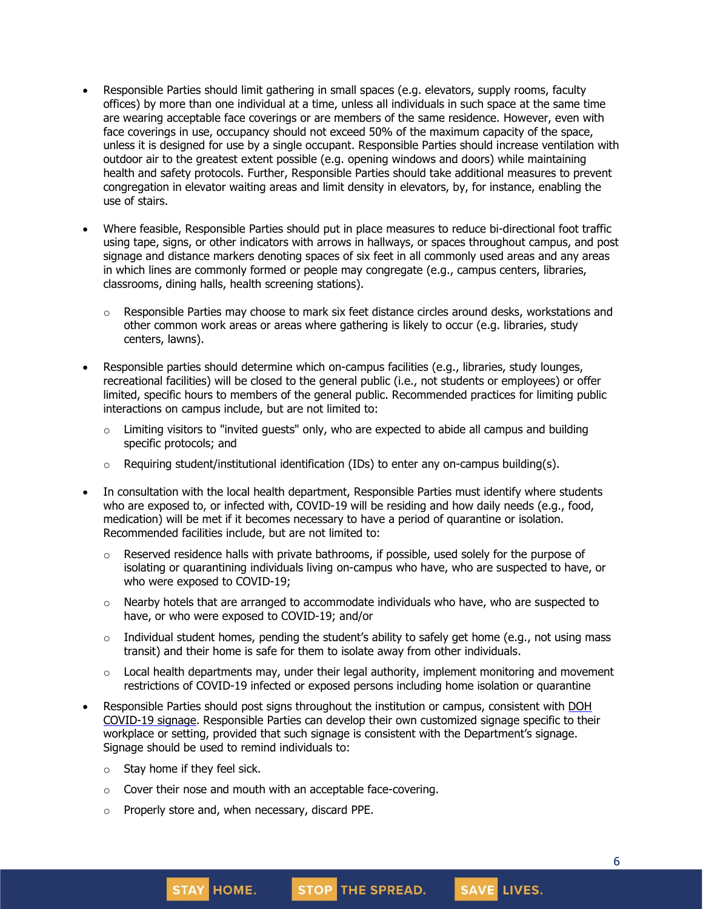- Responsible Parties should limit gathering in small spaces (e.g. elevators, supply rooms, faculty offices) by more than one individual at a time, unless all individuals in such space at the same time are wearing acceptable face coverings or are members of the same residence. However, even with face coverings in use, occupancy should not exceed 50% of the maximum capacity of the space, unless it is designed for use by a single occupant. Responsible Parties should increase ventilation with outdoor air to the greatest extent possible (e.g. opening windows and doors) while maintaining health and safety protocols. Further, Responsible Parties should take additional measures to prevent congregation in elevator waiting areas and limit density in elevators, by, for instance, enabling the use of stairs.
- Where feasible, Responsible Parties should put in place measures to reduce bi-directional foot traffic using tape, signs, or other indicators with arrows in hallways, or spaces throughout campus, and post signage and distance markers denoting spaces of six feet in all commonly used areas and any areas in which lines are commonly formed or people may congregate (e.g., campus centers, libraries, classrooms, dining halls, health screening stations).
	- $\circ$  Responsible Parties may choose to mark six feet distance circles around desks, workstations and other common work areas or areas where gathering is likely to occur (e.g. libraries, study centers, lawns).
- Responsible parties should determine which on-campus facilities (e.g., libraries, study lounges, recreational facilities) will be closed to the general public (i.e., not students or employees) or offer limited, specific hours to members of the general public. Recommended practices for limiting public interactions on campus include, but are not limited to:
	- $\circ$  Limiting visitors to "invited guests" only, who are expected to abide all campus and building specific protocols; and
	- $\circ$  Requiring student/institutional identification (IDs) to enter any on-campus building(s).
- In consultation with the local health department, Responsible Parties must identify where students who are exposed to, or infected with, COVID-19 will be residing and how daily needs (e.g., food, medication) will be met if it becomes necessary to have a period of quarantine or isolation. Recommended facilities include, but are not limited to:
	- $\circ$  Reserved residence halls with private bathrooms, if possible, used solely for the purpose of isolating or quarantining individuals living on-campus who have, who are suspected to have, or who were exposed to COVID-19;
	- $\circ$  Nearby hotels that are arranged to accommodate individuals who have, who are suspected to have, or who were exposed to COVID-19; and/or
	- $\circ$  Individual student homes, pending the student's ability to safely get home (e.g., not using mass transit) and their home is safe for them to isolate away from other individuals.
	- $\circ$  Local health departments may, under their legal authority, implement monitoring and movement restrictions of COVID-19 infected or exposed persons including home isolation or quarantine
- Responsible Parties should post signs throughout the institution or campus, consistent with [DOH](https://coronavirus.health.ny.gov/system/files/documents/2020/04/13067_coronavirus_protectyourself_poster_042020.pdf) [COVID-19](https://coronavirus.health.ny.gov/system/files/documents/2020/04/13067_coronavirus_protectyourself_poster_042020.pdf) signage. Responsible Parties can develop their own customized signage specific to their workplace or setting, provided that such signage is consistent with the Department's signage. Signage should be used to remind individuals to:
	- $\circ$  Stay home if they feel sick.
	- o Cover their nose and mouth with an acceptable face-covering.
	- o Properly store and, when necessary, discard PPE.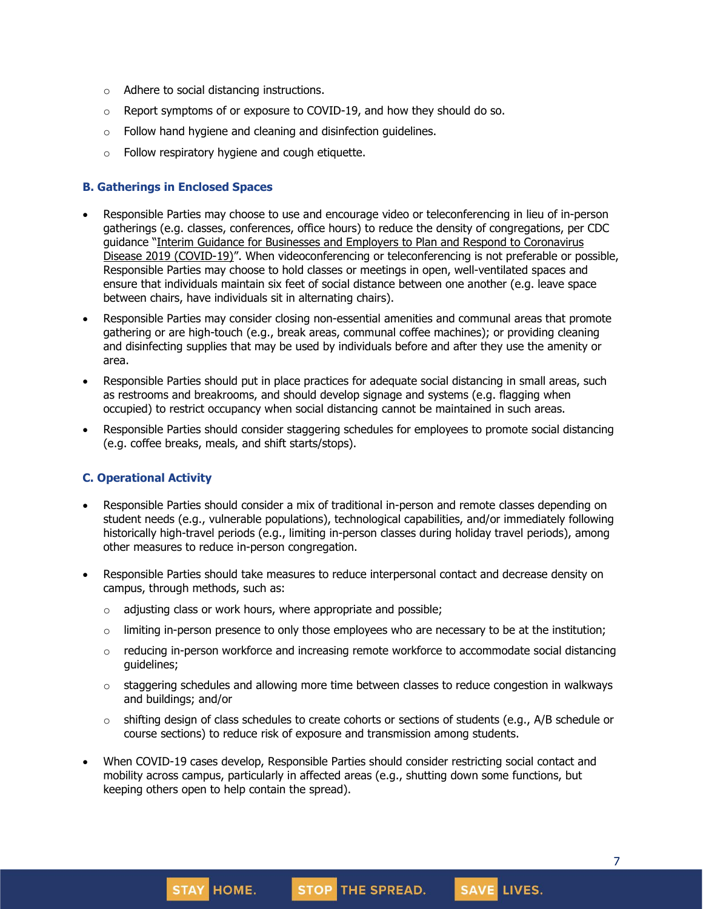- o Adhere to social distancing instructions.
- $\circ$  Report symptoms of or exposure to COVID-19, and how they should do so.
- $\circ$  Follow hand hygiene and cleaning and disinfection guidelines.
- o Follow respiratory hygiene and cough etiquette.

#### **B. Gatherings in Enclosed Spaces**

- Responsible Parties may choose to use and encourage video or teleconferencing in lieu of in-person gatherings (e.g. classes, conferences, office hours) to reduce the density of congregations, per CDC guidance "Interim Guidance for Businesses and Employers to Plan and Respond to [Coronavirus](https://www.cdc.gov/coronavirus/2019-ncov/community/guidance-business-response.html) Disease 2019 [\(COVID-19\)](https://www.cdc.gov/coronavirus/2019-ncov/community/guidance-business-response.html)". When videoconferencing or teleconferencing is not preferable or possible, Responsible Parties may choose to hold classes or meetings in open, well-ventilated spaces and ensure that individuals maintain six feet of social distance between one another (e.g. leave space between chairs, have individuals sit in alternating chairs).
- Responsible Parties may consider closing non-essential amenities and communal areas that promote gathering or are high-touch (e.g., break areas, communal coffee machines); or providing cleaning and disinfecting supplies that may be used by individuals before and after they use the amenity or area.
- Responsible Parties should put in place practices for adequate social distancing in small areas, such as restrooms and breakrooms, and should develop signage and systems (e.g. flagging when occupied) to restrict occupancy when social distancing cannot be maintained in such areas.
- Responsible Parties should consider staggering schedules for employees to promote social distancing (e.g. coffee breaks, meals, and shift starts/stops).

#### **C. Operational Activity**

- Responsible Parties should consider a mix of traditional in-person and remote classes depending on student needs (e.g., vulnerable populations), technological capabilities, and/or immediately following historically high-travel periods (e.g., limiting in-person classes during holiday travel periods), among other measures to reduce in-person congregation.
- Responsible Parties should take measures to reduce interpersonal contact and decrease density on campus, through methods, such as:
	- $\circ$  adjusting class or work hours, where appropriate and possible;

**STAY HOME.** 

- $\circ$  limiting in-person presence to only those employees who are necessary to be at the institution;
- $\circ$  reducing in-person workforce and increasing remote workforce to accommodate social distancing guidelines;
- $\circ$  staggering schedules and allowing more time between classes to reduce congestion in walkways and buildings; and/or
- o shifting design of class schedules to create cohorts or sections of students (e.g., A/B schedule or course sections) to reduce risk of exposure and transmission among students.
- When COVID-19 cases develop, Responsible Parties should consider restricting social contact and mobility across campus, particularly in affected areas (e.g., shutting down some functions, but keeping others open to help contain the spread).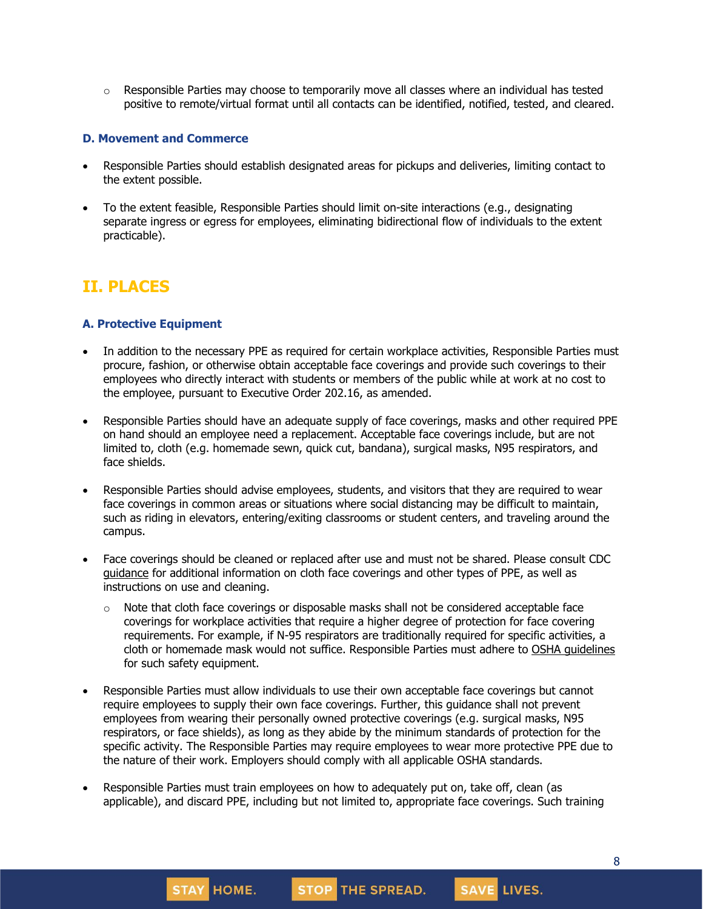$\circ$  Responsible Parties may choose to temporarily move all classes where an individual has tested positive to remote/virtual format until all contacts can be identified, notified, tested, and cleared.

#### **D. Movement and Commerce**

- Responsible Parties should establish designated areas for pickups and deliveries, limiting contact to the extent possible.
- To the extent feasible, Responsible Parties should limit on-site interactions (e.g., designating separate ingress or egress for employees, eliminating bidirectional flow of individuals to the extent practicable).

# **II. PLACES**

#### **A. Protective Equipment**

- In addition to the necessary PPE as required for certain workplace activities, Responsible Parties must procure, fashion, or otherwise obtain acceptable face coverings and provide such coverings to their employees who directly interact with students or members of the public while at work at no cost to the employee, pursuant to Executive Order 202.16, as amended.
- Responsible Parties should have an adequate supply of face coverings, masks and other required PPE on hand should an employee need a replacement. Acceptable face coverings include, but are not limited to, cloth (e.g. homemade sewn, quick cut, bandana), surgical masks, N95 respirators, and face shields.
- Responsible Parties should advise employees, students, and visitors that they are required to wear face coverings in common areas or situations where social distancing may be difficult to maintain, such as riding in elevators, entering/exiting classrooms or student centers, and traveling around the campus.
- Face coverings should be cleaned or replaced after use and must not be shared. Please consult CDC [guidance](https://www.cdc.gov/coronavirus/2019-ncov/community/guidance-business-response.html) for additional information on cloth face coverings and other types of PPE, as well as instructions on use and cleaning.
	- $\circ$  Note that cloth face coverings or disposable masks shall not be considered acceptable face coverings for workplace activities that require a higher degree of protection for face covering requirements. For example, if N-95 respirators are traditionally required for specific activities, a cloth or homemade mask would not suffice. Responsible Parties must adhere to OSHA [guidelines](https://www.osha.gov/Publications/OSHA3990.pdf) for such safety equipment.
- Responsible Parties must allow individuals to use their own acceptable face coverings but cannot require employees to supply their own face coverings. Further, this guidance shall not prevent employees from wearing their personally owned protective coverings (e.g. surgical masks, N95 respirators, or face shields), as long as they abide by the minimum standards of protection for the specific activity. The Responsible Parties may require employees to wear more protective PPE due to the nature of their work. Employers should comply with all applicable OSHA standards.
- Responsible Parties must train employees on how to adequately put on, take off, clean (as applicable), and discard PPE, including but not limited to, appropriate face coverings. Such training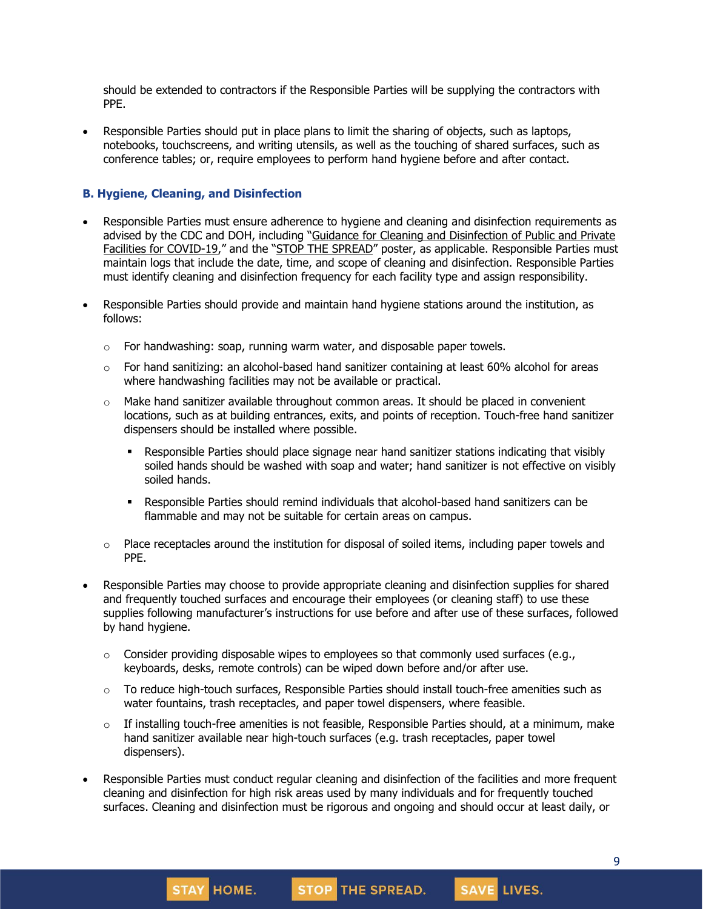should be extended to contractors if the Responsible Parties will be supplying the contractors with PPE.

• Responsible Parties should put in place plans to limit the sharing of objects, such as laptops, notebooks, touchscreens, and writing utensils, as well as the touching of shared surfaces, such as conference tables; or, require employees to perform hand hygiene before and after contact.

#### **B. Hygiene, Cleaning, and Disinfection**

- Responsible Parties must ensure adherence to hygiene and cleaning and disinfection requirements as advised by the CDC and DOH, including "Guidance for Cleaning and [Disinfection](https://coronavirus.health.ny.gov/system/files/documents/2020/03/cleaning_guidance_general_building.pdf) of Public and Private Facilities for [COVID-19](https://coronavirus.health.ny.gov/system/files/documents/2020/03/cleaning_guidance_general_building.pdf)," and the "STOP THE [SPREAD](https://coronavirus.health.ny.gov/system/files/documents/2020/04/13067_coronavirus_protectyourself_poster_042020.pdf)" poster, as applicable. Responsible Parties must maintain logs that include the date, time, and scope of cleaning and disinfection. Responsible Parties must identify cleaning and disinfection frequency for each facility type and assign responsibility.
- Responsible Parties should provide and maintain hand hygiene stations around the institution, as follows:
	- $\circ$  For handwashing: soap, running warm water, and disposable paper towels.
	- $\circ$  For hand sanitizing: an alcohol-based hand sanitizer containing at least 60% alcohol for areas where handwashing facilities may not be available or practical.
	- $\circ$  Make hand sanitizer available throughout common areas. It should be placed in convenient locations, such as at building entrances, exits, and points of reception. Touch-free hand sanitizer dispensers should be installed where possible.
		- **•** Responsible Parties should place signage near hand sanitizer stations indicating that visibly soiled hands should be washed with soap and water; hand sanitizer is not effective on visibly soiled hands.
		- Responsible Parties should remind individuals that alcohol-based hand sanitizers can be flammable and may not be suitable for certain areas on campus.
	- $\circ$  Place receptacles around the institution for disposal of soiled items, including paper towels and PPE.
- Responsible Parties may choose to provide appropriate cleaning and disinfection supplies for shared and frequently touched surfaces and encourage their employees (or cleaning staff) to use these supplies following manufacturer's instructions for use before and after use of these surfaces, followed by hand hygiene.
	- $\circ$  Consider providing disposable wipes to employees so that commonly used surfaces (e.g., keyboards, desks, remote controls) can be wiped down before and/or after use.
	- $\circ$  To reduce high-touch surfaces, Responsible Parties should install touch-free amenities such as water fountains, trash receptacles, and paper towel dispensers, where feasible.
	- $\circ$  If installing touch-free amenities is not feasible, Responsible Parties should, at a minimum, make hand sanitizer available near high-touch surfaces (e.g. trash receptacles, paper towel dispensers).
- Responsible Parties must conduct regular cleaning and disinfection of the facilities and more frequent cleaning and disinfection for high risk areas used by many individuals and for frequently touched surfaces. Cleaning and disinfection must be rigorous and ongoing and should occur at least daily, or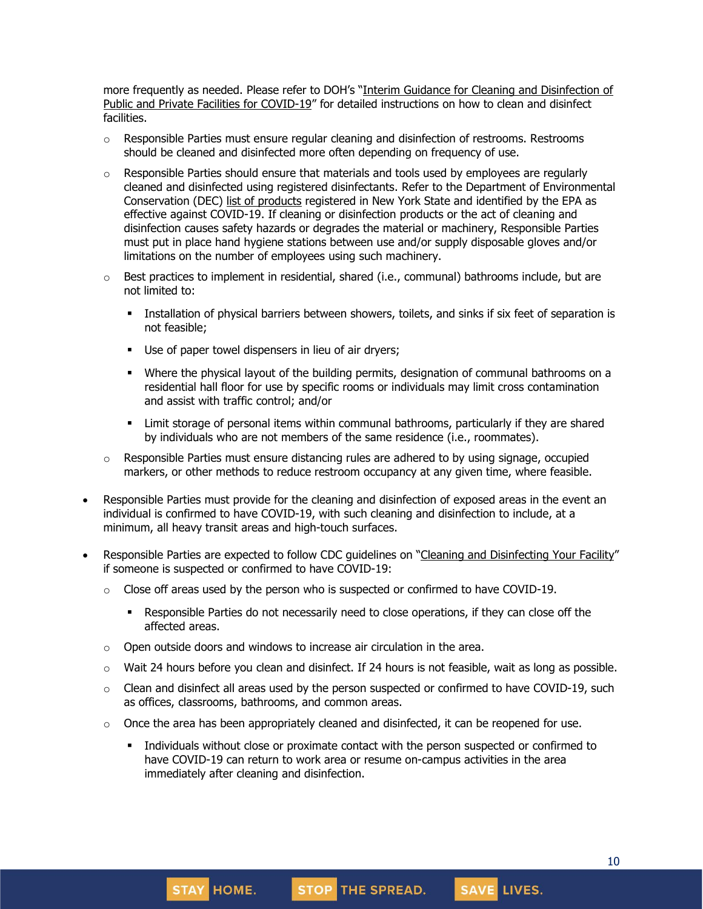more frequently as needed. Please refer to DOH's "Interim Guidance for Cleaning and [Disinfection](https://coronavirus.health.ny.gov/system/files/documents/2020/03/cleaning_guidance_general_building.pdf) of Public and Private Facilities for [COVID-19](https://coronavirus.health.ny.gov/system/files/documents/2020/03/cleaning_guidance_general_building.pdf)" for detailed instructions on how to clean and disinfect facilities.

- $\circ$  Responsible Parties must ensure regular cleaning and disinfection of restrooms. Restrooms should be cleaned and disinfected more often depending on frequency of use.
- $\circ$  Responsible Parties should ensure that materials and tools used by employees are regularly cleaned and disinfected using registered disinfectants. Refer to the Department of Environmental Conservation (DEC) list of [products](http://www.dec.ny.gov/docs/materials_minerals_pdf/covid19.pdf) registered in New York State and identified by the EPA as effective against COVID-19. If cleaning or disinfection products or the act of cleaning and disinfection causes safety hazards or degrades the material or machinery, Responsible Parties must put in place hand hygiene stations between use and/or supply disposable gloves and/or limitations on the number of employees using such machinery.
- $\circ$  Best practices to implement in residential, shared (i.e., communal) bathrooms include, but are not limited to:
	- **.** Installation of physical barriers between showers, toilets, and sinks if six feet of separation is not feasible;
	- Use of paper towel dispensers in lieu of air dryers;
	- Where the physical layout of the building permits, designation of communal bathrooms on a residential hall floor for use by specific rooms or individuals may limit cross contamination and assist with traffic control; and/or
	- **EXECT** Limit storage of personal items within communal bathrooms, particularly if they are shared by individuals who are not members of the same residence (i.e., roommates).
- $\circ$  Responsible Parties must ensure distancing rules are adhered to by using signage, occupied markers, or other methods to reduce restroom occupancy at any given time, where feasible.
- Responsible Parties must provide for the cleaning and disinfection of exposed areas in the event an individual is confirmed to have COVID-19, with such cleaning and disinfection to include, at a minimum, all heavy transit areas and high-touch surfaces.
- Responsible Parties are expected to follow CDC guidelines on "Cleaning and [Disinfecting](https://www.cdc.gov/coronavirus/2019-ncov/community/disinfecting-building-facility.html) Your Facility" if someone is suspected or confirmed to have COVID-19:
	- $\circ$  Close off areas used by the person who is suspected or confirmed to have COVID-19.
		- **•** Responsible Parties do not necessarily need to close operations, if they can close off the affected areas.
	- $\circ$  Open outside doors and windows to increase air circulation in the area.

**STAY HOME.** 

- $\circ$  Wait 24 hours before you clean and disinfect. If 24 hours is not feasible, wait as long as possible.
- $\circ$  Clean and disinfect all areas used by the person suspected or confirmed to have COVID-19, such as offices, classrooms, bathrooms, and common areas.
- $\circ$  Once the area has been appropriately cleaned and disinfected, it can be reopened for use.
	- Individuals without close or proximate contact with the person suspected or confirmed to have COVID-19 can return to work area or resume on-campus activities in the area immediately after cleaning and disinfection.

STOP THE SPREAD.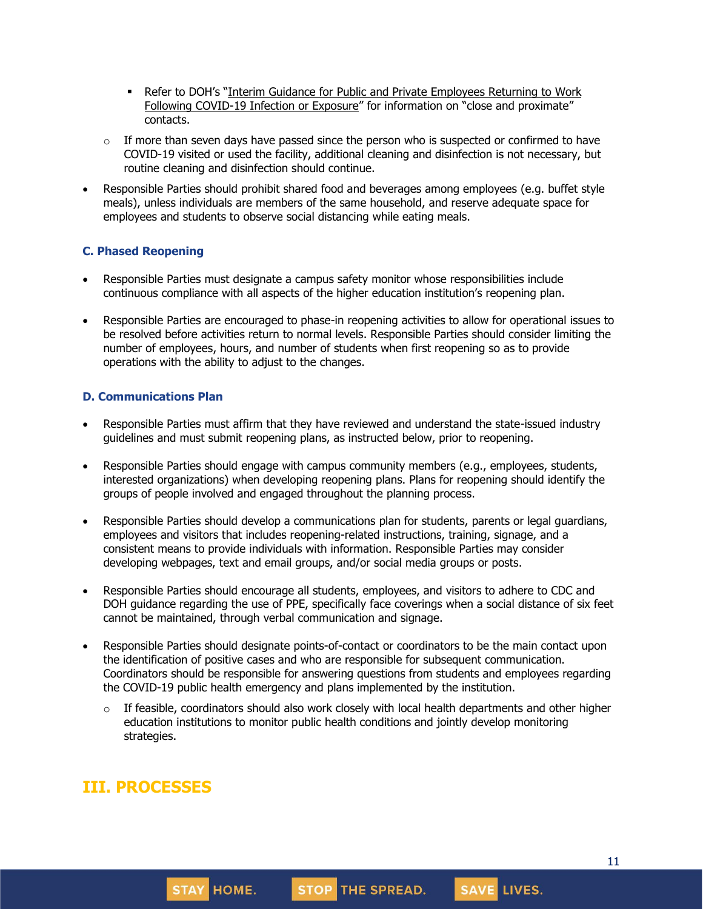- **Refer to DOH's "Interim Guidance for Public and Private [Employees](https://coronavirus.health.ny.gov/system/files/documents/2020/06/doh_covid19_publicprivateemployeereturntowork_053120.pdf) Returning to Work** Following [COVID-19](https://coronavirus.health.ny.gov/system/files/documents/2020/06/doh_covid19_publicprivateemployeereturntowork_053120.pdf) Infection or Exposure" for information on "close and proximate" contacts.
- $\circ$  If more than seven days have passed since the person who is suspected or confirmed to have COVID-19 visited or used the facility, additional cleaning and disinfection is not necessary, but routine cleaning and disinfection should continue.
- Responsible Parties should prohibit shared food and beverages among employees (e.g. buffet style meals), unless individuals are members of the same household, and reserve adequate space for employees and students to observe social distancing while eating meals.

#### **C. Phased Reopening**

- Responsible Parties must designate a campus safety monitor whose responsibilities include continuous compliance with all aspects of the higher education institution's reopening plan.
- Responsible Parties are encouraged to phase-in reopening activities to allow for operational issues to be resolved before activities return to normal levels. Responsible Parties should consider limiting the number of employees, hours, and number of students when first reopening so as to provide operations with the ability to adjust to the changes.

#### **D. Communications Plan**

- Responsible Parties must affirm that they have reviewed and understand the state-issued industry guidelines and must submit reopening plans, as instructed below, prior to reopening.
- Responsible Parties should engage with campus community members (e.g., employees, students, interested organizations) when developing reopening plans. Plans for reopening should identify the groups of people involved and engaged throughout the planning process.
- Responsible Parties should develop a communications plan for students, parents or legal guardians, employees and visitors that includes reopening-related instructions, training, signage, and a consistent means to provide individuals with information. Responsible Parties may consider developing webpages, text and email groups, and/or social media groups or posts.
- Responsible Parties should encourage all students, employees, and visitors to adhere to CDC and DOH guidance regarding the use of PPE, specifically face coverings when a social distance of six feet cannot be maintained, through verbal communication and signage.
- Responsible Parties should designate points-of-contact or coordinators to be the main contact upon the identification of positive cases and who are responsible for subsequent communication. Coordinators should be responsible for answering questions from students and employees regarding the COVID-19 public health emergency and plans implemented by the institution.
	- $\circ$  If feasible, coordinators should also work closely with local health departments and other higher education institutions to monitor public health conditions and jointly develop monitoring strategies.

# **III. PROCESSES**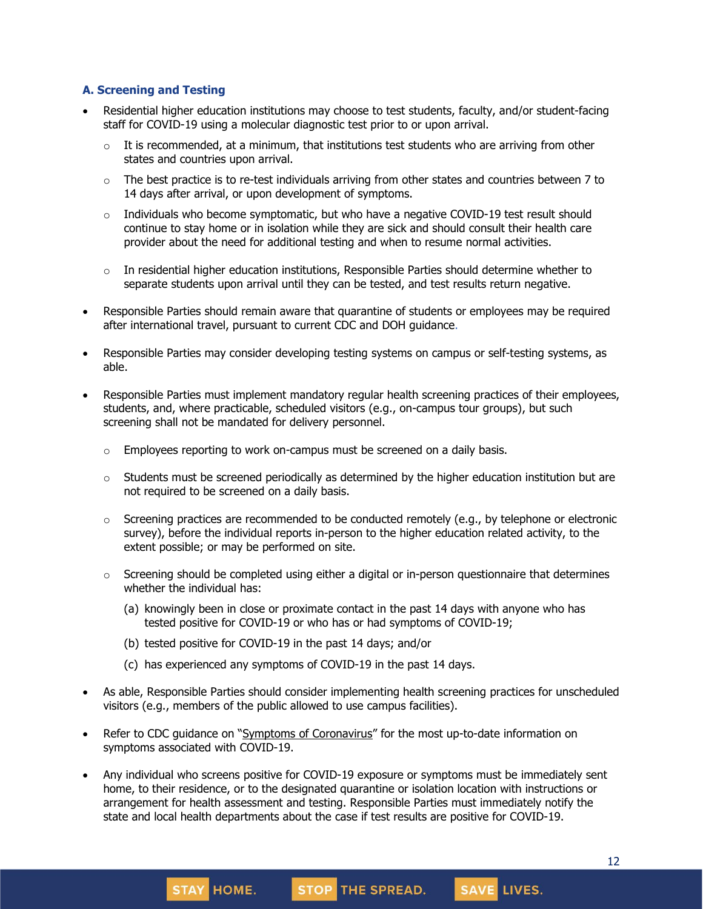#### **A. Screening and Testing**

- Residential higher education institutions may choose to test students, faculty, and/or student-facing staff for COVID-19 using a molecular diagnostic test prior to or upon arrival.
	- $\circ$  It is recommended, at a minimum, that institutions test students who are arriving from other states and countries upon arrival.
	- $\circ$  The best practice is to re-test individuals arriving from other states and countries between 7 to 14 days after arrival, or upon development of symptoms.
	- $\circ$  Individuals who become symptomatic, but who have a negative COVID-19 test result should continue to stay home or in isolation while they are sick and should consult their health care provider about the need for additional testing and when to resume normal activities.
	- $\circ$  In residential higher education institutions, Responsible Parties should determine whether to separate students upon arrival until they can be tested, and test results return negative.
- Responsible Parties should remain aware that quarantine of students or employees may be required after international travel, pursuant to current CDC and DOH guidance.
- Responsible Parties may consider developing testing systems on campus or self-testing systems, as able.
- Responsible Parties must implement mandatory regular health screening practices of their employees, students, and, where practicable, scheduled visitors (e.g., on-campus tour groups), but such screening shall not be mandated for delivery personnel.
	- $\circ$  Employees reporting to work on-campus must be screened on a daily basis.
	- $\circ$  Students must be screened periodically as determined by the higher education institution but are not required to be screened on a daily basis.
	- $\circ$  Screening practices are recommended to be conducted remotely (e.g., by telephone or electronic survey), before the individual reports in-person to the higher education related activity, to the extent possible; or may be performed on site.
	- o Screening should be completed using either a digital or in-person questionnaire that determines whether the individual has:
		- (a) knowingly been in close or proximate contact in the past 14 days with anyone who has tested positive for COVID-19 or who has or had symptoms of COVID-19;
		- (b) tested positive for COVID-19 in the past 14 days; and/or

STAY HOME.

- (c) has experienced any symptoms of COVID-19 in the past 14 days.
- As able, Responsible Parties should consider implementing health screening practices for unscheduled visitors (e.g., members of the public allowed to use campus facilities).
- Refer to CDC guidance on "Symptoms of [Coronavirus](https://www.cdc.gov/coronavirus/2019-ncov/symptoms-testing/symptoms.html)" for the most up-to-date information on symptoms associated with COVID-19.
- Any individual who screens positive for COVID-19 exposure or symptoms must be immediately sent home, to their residence, or to the designated quarantine or isolation location with instructions or arrangement for health assessment and testing. Responsible Parties must immediately notify the state and local health departments about the case if test results are positive for COVID-19.

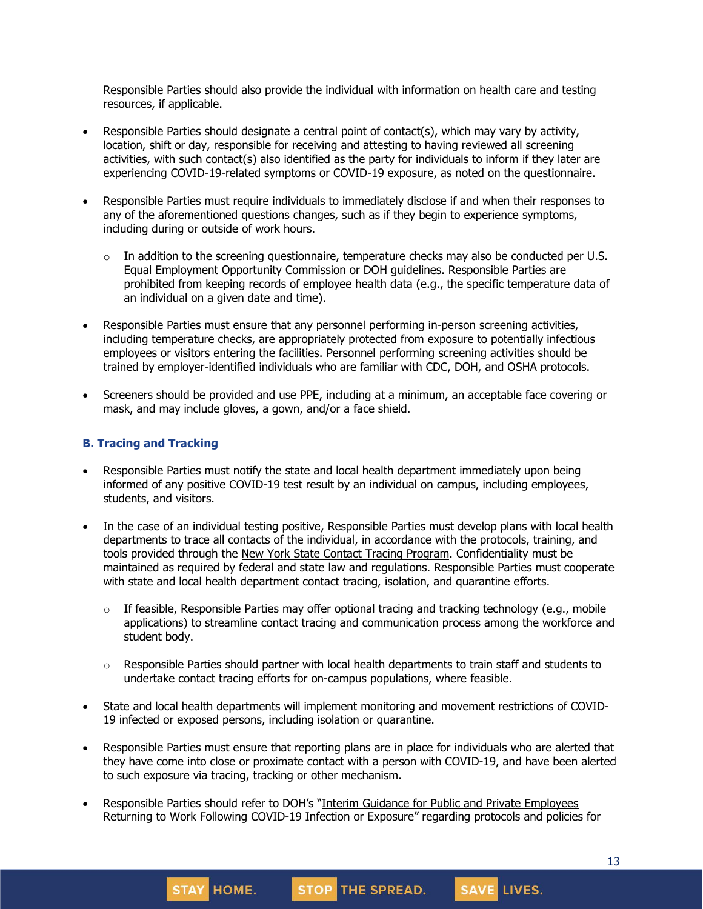Responsible Parties should also provide the individual with information on health care and testing resources, if applicable.

- Responsible Parties should designate a central point of contact(s), which may vary by activity, location, shift or day, responsible for receiving and attesting to having reviewed all screening activities, with such contact(s) also identified as the party for individuals to inform if they later are experiencing COVID-19-related symptoms or COVID-19 exposure, as noted on the questionnaire.
- Responsible Parties must require individuals to immediately disclose if and when their responses to any of the aforementioned questions changes, such as if they begin to experience symptoms, including during or outside of work hours.
	- $\circ$  In addition to the screening questionnaire, temperature checks may also be conducted per U.S. Equal Employment Opportunity Commission or DOH guidelines. Responsible Parties are prohibited from keeping records of employee health data (e.g., the specific temperature data of an individual on a given date and time).
- Responsible Parties must ensure that any personnel performing in-person screening activities, including temperature checks, are appropriately protected from exposure to potentially infectious employees or visitors entering the facilities. Personnel performing screening activities should be trained by employer-identified individuals who are familiar with CDC, DOH, and OSHA protocols.
- Screeners should be provided and use PPE, including at a minimum, an acceptable face covering or mask, and may include gloves, a gown, and/or a face shield.

#### **B. Tracing and Tracking**

- Responsible Parties must notify the state and local health department immediately upon being informed of any positive COVID-19 test result by an individual on campus, including employees, students, and visitors.
- In the case of an individual testing positive, Responsible Parties must develop plans with local health departments to trace all contacts of the individual, in accordance with the protocols, training, and tools provided through the New York State Contact Tracing [Program.](https://coronavirus.health.ny.gov/new-york-state-contact-tracing) Confidentiality must be maintained as required by federal and state law and regulations. Responsible Parties must cooperate with state and local health department contact tracing, isolation, and quarantine efforts.
	- $\circ$  If feasible, Responsible Parties may offer optional tracing and tracking technology (e.g., mobile applications) to streamline contact tracing and communication process among the workforce and student body.
	- $\circ$  Responsible Parties should partner with local health departments to train staff and students to undertake contact tracing efforts for on-campus populations, where feasible.
- State and local health departments will implement monitoring and movement restrictions of COVID-19 infected or exposed persons, including isolation or quarantine.
- Responsible Parties must ensure that reporting plans are in place for individuals who are alerted that they have come into close or proximate contact with a person with COVID-19, and have been alerted to such exposure via tracing, tracking or other mechanism.
- Responsible Parties should refer to DOH's "Interim Guidance for Public and Private [Employees](https://coronavirus.health.ny.gov/system/files/documents/2020/06/doh_covid19_publicprivateemployeereturntowork_053120.pdf) Returning to Work Following [COVID-19](https://coronavirus.health.ny.gov/system/files/documents/2020/06/doh_covid19_publicprivateemployeereturntowork_053120.pdf) Infection or Exposure" regarding protocols and policies for

**STAY HOME.** 

STOP THE SPREAD.